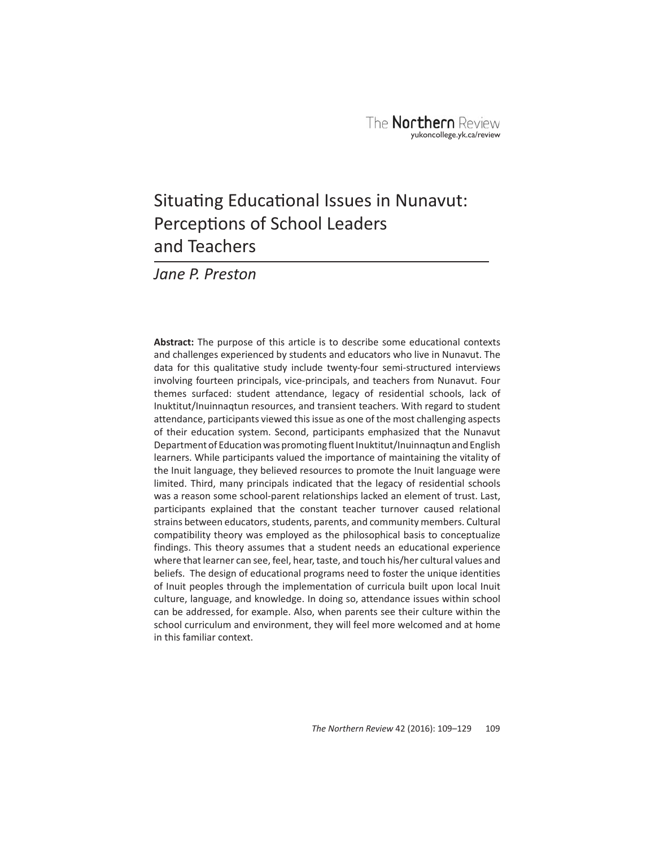# Situating Educational Issues in Nunavut: Perceptions of School Leaders and Teachers

*Jane P. Preston*

**Abstract:** The purpose of this article is to describe some educational contexts and challenges experienced by students and educators who live in Nunavut. The data for this qualitative study include twenty-four semi-structured interviews involving fourteen principals, vice-principals, and teachers from Nunavut. Four themes surfaced: student attendance, legacy of residential schools, lack of Inuktitut/Inuinnaqtun resources, and transient teachers. With regard to student attendance, participants viewed this issue as one of the most challenging aspects of their education system. Second, participants emphasized that the Nunavut Department of Education was promoting fluent Inuktitut/Inuinnaqtun and English learners. While participants valued the importance of maintaining the vitality of the Inuit language, they believed resources to promote the Inuit language were limited. Third, many principals indicated that the legacy of residential schools was a reason some school-parent relationships lacked an element of trust. Last, participants explained that the constant teacher turnover caused relational strains between educators, students, parents, and community members. Cultural compatibility theory was employed as the philosophical basis to conceptualize findings. This theory assumes that a student needs an educational experience where that learner can see, feel, hear, taste, and touch his/her cultural values and beliefs. The design of educational programs need to foster the unique identities of Inuit peoples through the implementation of curricula built upon local Inuit culture, language, and knowledge. In doing so, attendance issues within school can be addressed, for example. Also, when parents see their culture within the school curriculum and environment, they will feel more welcomed and at home in this familiar context.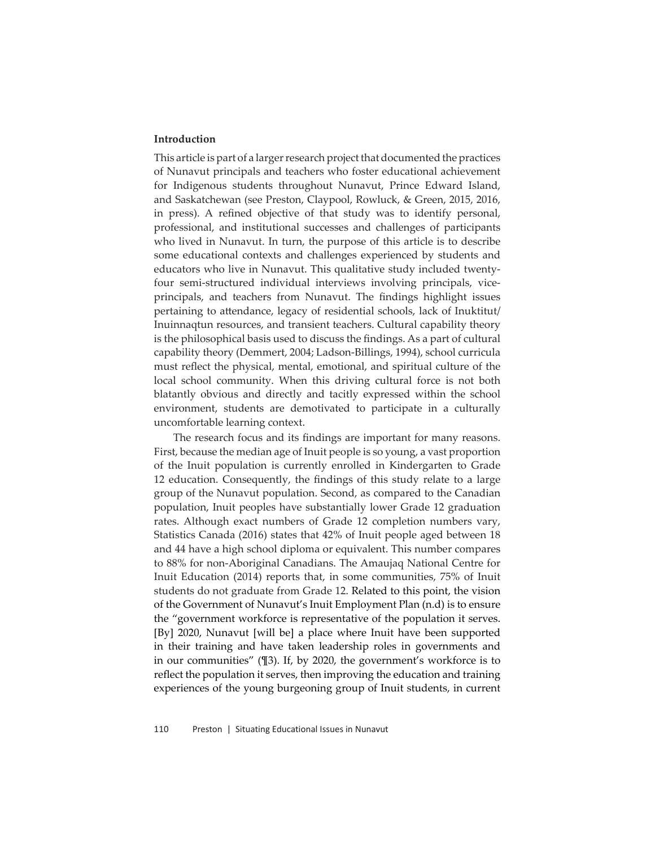# **Introduction**

This article is part of a larger research project that documented the practices of Nunavut principals and teachers who foster educational achievement for Indigenous students throughout Nunavut, Prince Edward Island, and Saskatchewan (see Preston, Claypool, Rowluck, & Green, 2015, 2016, in press). A refined objective of that study was to identify personal, professional, and institutional successes and challenges of participants who lived in Nunavut. In turn, the purpose of this article is to describe some educational contexts and challenges experienced by students and educators who live in Nunavut. This qualitative study included twentyfour semi-structured individual interviews involving principals, viceprincipals, and teachers from Nunavut. The findings highlight issues pertaining to attendance, legacy of residential schools, lack of Inuktitut/ Inuinnaqtun resources, and transient teachers. Cultural capability theory is the philosophical basis used to discuss the findings. As a part of cultural capability theory (Demmert, 2004; Ladson-Billings, 1994), school curricula must reflect the physical, mental, emotional, and spiritual culture of the local school community. When this driving cultural force is not both blatantly obvious and directly and tacitly expressed within the school environment, students are demotivated to participate in a culturally uncomfortable learning context.

The research focus and its findings are important for many reasons. First, because the median age of Inuit people is so young, a vast proportion of the Inuit population is currently enrolled in Kindergarten to Grade 12 education. Consequently, the findings of this study relate to a large group of the Nunavut population. Second, as compared to the Canadian population, Inuit peoples have substantially lower Grade 12 graduation rates. Although exact numbers of Grade 12 completion numbers vary, Statistics Canada (2016) states that 42% of Inuit people aged between 18 and 44 have a high school diploma or equivalent. This number compares to 88% for non-Aboriginal Canadians. The Amaujaq National Centre for Inuit Education (2014) reports that, in some communities, 75% of Inuit students do not graduate from Grade 12. Related to this point, the vision of the Government of Nunavut's Inuit Employment Plan (n.d) is to ensure the "government workforce is representative of the population it serves. [By] 2020, Nunavut [will be] a place where Inuit have been supported in their training and have taken leadership roles in governments and in our communities" (¶3). If, by 2020, the government's workforce is to reflect the population it serves, then improving the education and training experiences of the young burgeoning group of Inuit students, in current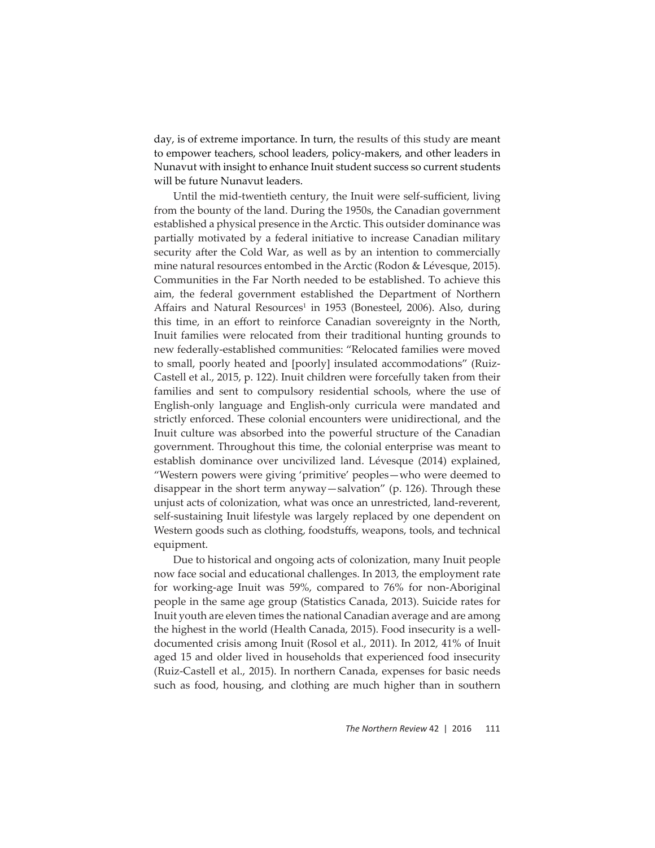day, is of extreme importance. In turn, the results of this study are meant to empower teachers, school leaders, policy-makers, and other leaders in Nunavut with insight to enhance Inuit student success so current students will be future Nunavut leaders.

Until the mid-twentieth century, the Inuit were self-sufficient, living from the bounty of the land. During the 1950s, the Canadian government established a physical presence in the Arctic. This outsider dominance was partially motivated by a federal initiative to increase Canadian military security after the Cold War, as well as by an intention to commercially mine natural resources entombed in the Arctic (Rodon & Lévesque, 2015). Communities in the Far North needed to be established. To achieve this aim, the federal government established the Department of Northern Affairs and Natural Resources<sup>1</sup> in 1953 (Bonesteel, 2006). Also, during this time, in an effort to reinforce Canadian sovereignty in the North, Inuit families were relocated from their traditional hunting grounds to new federally-established communities: "Relocated families were moved to small, poorly heated and [poorly] insulated accommodations" (Ruiz-Castell et al., 2015, p. 122). Inuit children were forcefully taken from their families and sent to compulsory residential schools, where the use of English-only language and English-only curricula were mandated and strictly enforced. These colonial encounters were unidirectional, and the Inuit culture was absorbed into the powerful structure of the Canadian government. Throughout this time, the colonial enterprise was meant to establish dominance over uncivilized land. Lévesque (2014) explained, "Western powers were giving 'primitive' peoples—who were deemed to disappear in the short term anyway—salvation" (p. 126). Through these unjust acts of colonization, what was once an unrestricted, land-reverent, self-sustaining Inuit lifestyle was largely replaced by one dependent on Western goods such as clothing, foodstuffs, weapons, tools, and technical equipment.

Due to historical and ongoing acts of colonization, many Inuit people now face social and educational challenges. In 2013, the employment rate for working-age Inuit was 59%, compared to 76% for non-Aboriginal people in the same age group (Statistics Canada, 2013). Suicide rates for Inuit youth are eleven times the national Canadian average and are among the highest in the world (Health Canada, 2015). Food insecurity is a welldocumented crisis among Inuit (Rosol et al., 2011). In 2012, 41% of Inuit aged 15 and older lived in households that experienced food insecurity (Ruiz-Castell et al., 2015). In northern Canada, expenses for basic needs such as food, housing, and clothing are much higher than in southern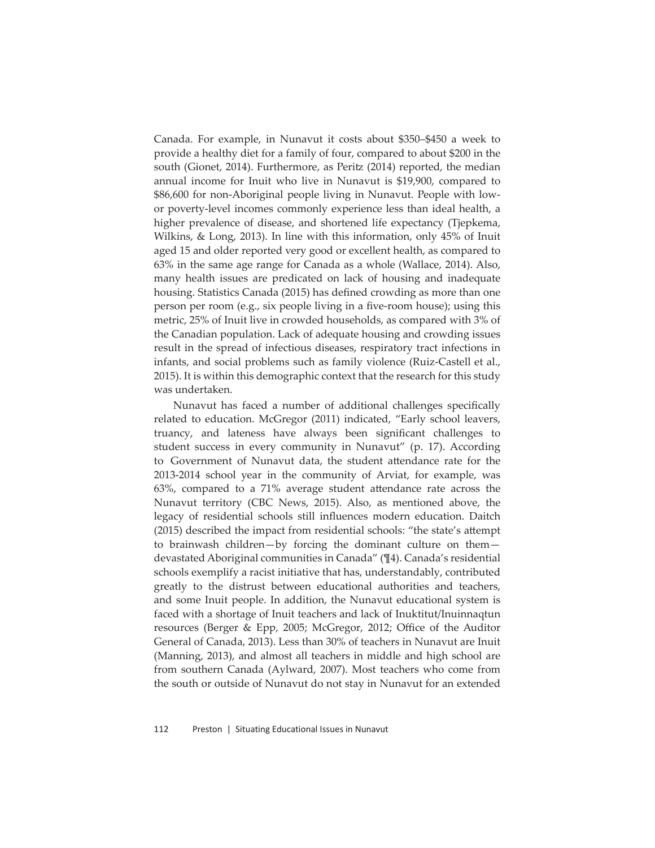Canada. For example, in Nunavut it costs about \$350–\$450 a week to provide a healthy diet for a family of four, compared to about \$200 in the south (Gionet, 2014). Furthermore, as Peritz (2014) reported, the median annual income for Inuit who live in Nunavut is \$19,900, compared to \$86,600 for non-Aboriginal people living in Nunavut. People with lowor poverty-level incomes commonly experience less than ideal health, a higher prevalence of disease, and shortened life expectancy (Tjepkema, Wilkins, & Long, 2013). In line with this information, only 45% of Inuit aged 15 and older reported very good or excellent health, as compared to 63% in the same age range for Canada as a whole (Wallace, 2014). Also, many health issues are predicated on lack of housing and inadequate housing. Statistics Canada (2015) has defined crowding as more than one person per room (e.g., six people living in a five-room house); using this metric, 25% of Inuit live in crowded households, as compared with 3% of the Canadian population. Lack of adequate housing and crowding issues result in the spread of infectious diseases, respiratory tract infections in infants, and social problems such as family violence (Ruiz-Castell et al., 2015). It is within this demographic context that the research for this study was undertaken.

Nunavut has faced a number of additional challenges specifically related to education. McGregor (2011) indicated, "Early school leavers, truancy, and lateness have always been significant challenges to student success in every community in Nunavut" (p. 17). According to Government of Nunavut data, the student attendance rate for the 2013-2014 school year in the community of Arviat, for example, was  $63\%$ , compared to a  $71\%$  average student attendance rate across the Nunavut territory (CBC News, 2015). Also, as mentioned above, the legacy of residential schools still influences modern education. Daitch  $(2015)$  described the impact from residential schools: "the state's attempt to brainwash children—by forcing the dominant culture on them devastated Aboriginal communities in Canada" (¶4). Canada's residential schools exemplify a racist initiative that has, understandably, contributed greatly to the distrust between educational authorities and teachers, and some Inuit people. In addition, the Nunavut educational system is faced with a shortage of Inuit teachers and lack of Inuktitut/Inuinnaqtun resources (Berger & Epp, 2005; McGregor, 2012; Office of the Auditor General of Canada, 2013). Less than 30% of teachers in Nunavut are Inuit (Manning, 2013), and almost all teachers in middle and high school are from southern Canada (Aylward, 2007). Most teachers who come from the south or outside of Nunavut do not stay in Nunavut for an extended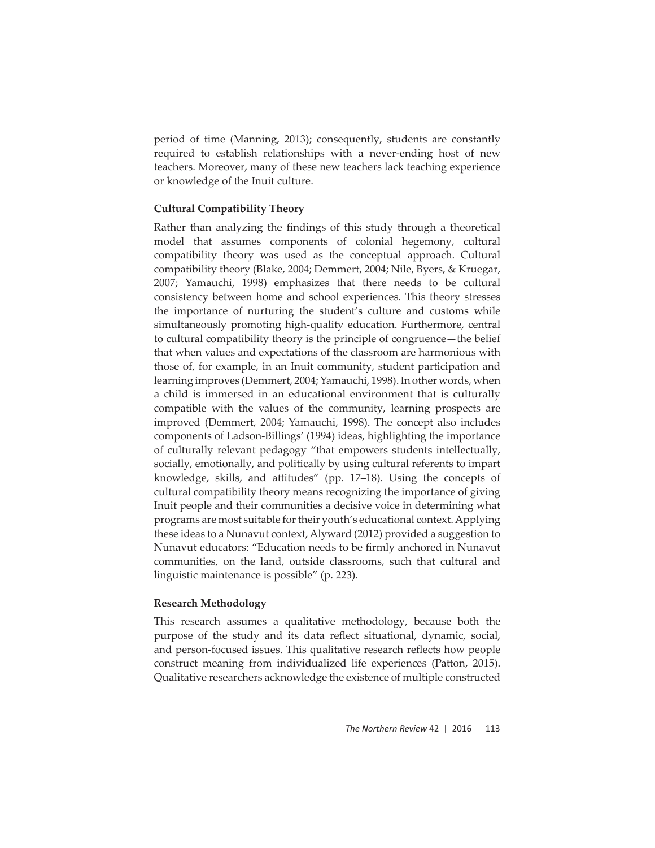period of time (Manning, 2013); consequently, students are constantly required to establish relationships with a never-ending host of new teachers. Moreover, many of these new teachers lack teaching experience or knowledge of the Inuit culture.

# **Cultural Compatibility Theory**

Rather than analyzing the findings of this study through a theoretical model that assumes components of colonial hegemony, cultural compatibility theory was used as the conceptual approach. Cultural compatibility theory (Blake, 2004; Demmert, 2004; Nile, Byers, & Kruegar, 2007; Yamauchi, 1998) emphasizes that there needs to be cultural consistency between home and school experiences. This theory stresses the importance of nurturing the student's culture and customs while simultaneously promoting high-quality education. Furthermore, central to cultural compatibility theory is the principle of congruence—the belief that when values and expectations of the classroom are harmonious with those of, for example, in an Inuit community, student participation and learning improves (Demmert, 2004; Yamauchi, 1998). In other words, when a child is immersed in an educational environment that is culturally compatible with the values of the community, learning prospects are improved (Demmert, 2004; Yamauchi, 1998). The concept also includes components of Ladson-Billings' (1994) ideas, highlighting the importance of culturally relevant pedagogy "that empowers students intellectually, socially, emotionally, and politically by using cultural referents to impart knowledge, skills, and attitudes" (pp. 17–18). Using the concepts of cultural compatibility theory means recognizing the importance of giving Inuit people and their communities a decisive voice in determining what programs are most suitable for their youth's educational context. Applying these ideas to a Nunavut context, Alyward (2012) provided a suggestion to Nunavut educators: "Education needs to be firmly anchored in Nunavut communities, on the land, outside classrooms, such that cultural and linguistic maintenance is possible" (p. 223).

# **Research Methodology**

This research assumes a qualitative methodology, because both the purpose of the study and its data reflect situational, dynamic, social, and person-focused issues. This qualitative research reflects how people construct meaning from individualized life experiences (Patton, 2015). Qualitative researchers acknowledge the existence of multiple constructed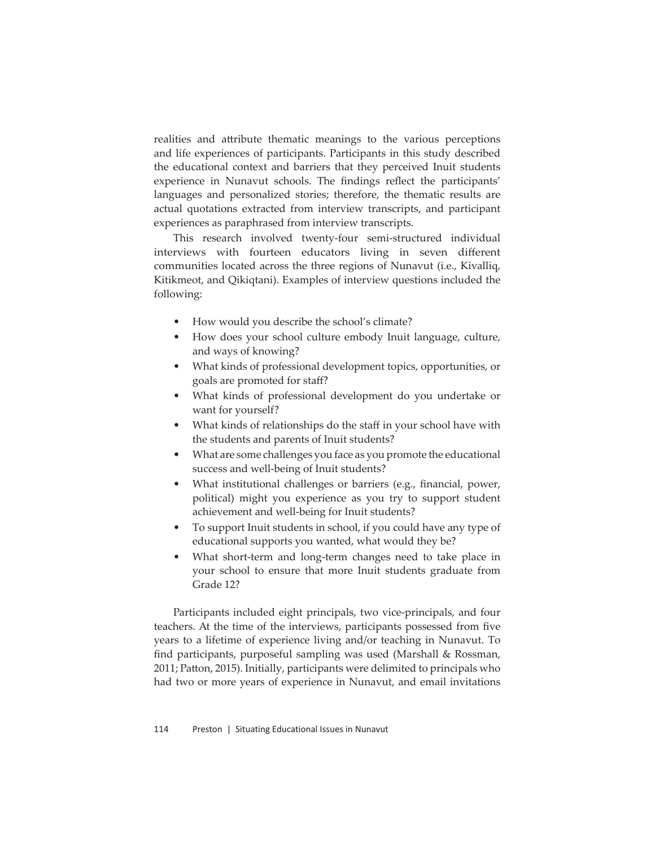realities and attribute thematic meanings to the various perceptions and life experiences of participants. Participants in this study described the educational context and barriers that they perceived Inuit students experience in Nunavut schools. The findings reflect the participants' languages and personalized stories; therefore, the thematic results are actual quotations extracted from interview transcripts, and participant experiences as paraphrased from interview transcripts.

This research involved twenty-four semi-structured individual interviews with fourteen educators living in seven different communities located across the three regions of Nunavut (i.e., Kivalliq, Kitikmeot, and Qikiqtani). Examples of interview questions included the following:

- How would you describe the school's climate?
- How does your school culture embody Inuit language, culture, and ways of knowing?
- What kinds of professional development topics, opportunities, or goals are promoted for staff?
- What kinds of professional development do you undertake or want for yourself?
- What kinds of relationships do the staff in your school have with the students and parents of Inuit students?
- What are some challenges you face as you promote the educational success and well-being of Inuit students?
- What institutional challenges or barriers (e.g., financial, power, political) might you experience as you try to support student achievement and well-being for Inuit students?
- To support Inuit students in school, if you could have any type of educational supports you wanted, what would they be?
- What short-term and long-term changes need to take place in your school to ensure that more Inuit students graduate from Grade 12?

Participants included eight principals, two vice-principals, and four teachers. At the time of the interviews, participants possessed from five years to a lifetime of experience living and/or teaching in Nunavut. To find participants, purposeful sampling was used (Marshall  $\&$  Rossman, 2011; Patton, 2015). Initially, participants were delimited to principals who had two or more years of experience in Nunavut, and email invitations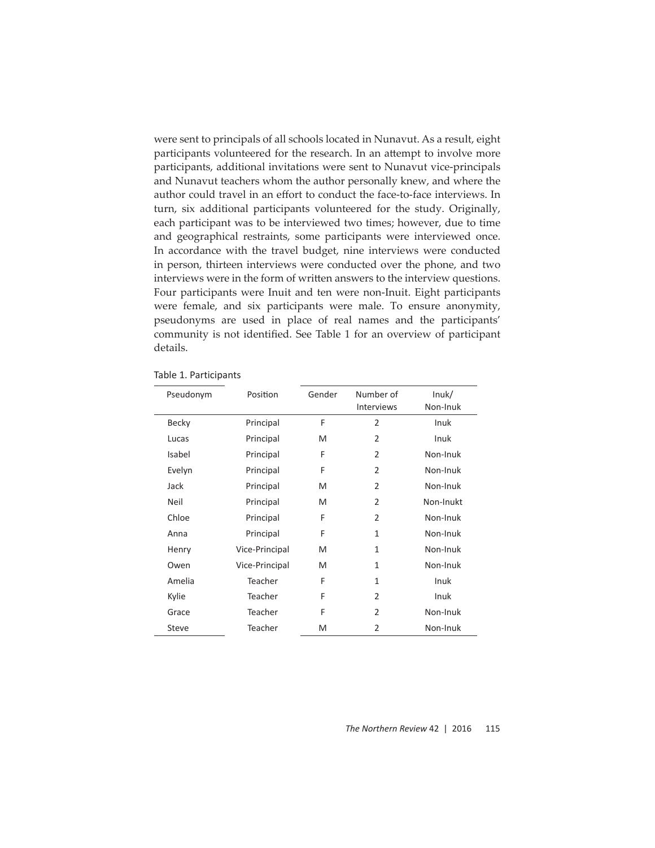were sent to principals of all schools located in Nunavut. As a result, eight participants volunteered for the research. In an attempt to involve more participants, additional invitations were sent to Nunavut vice-principals and Nunavut teachers whom the author personally knew, and where the author could travel in an effort to conduct the face-to-face interviews. In turn, six additional participants volunteered for the study. Originally, each participant was to be interviewed two times; however, due to time and geographical restraints, some participants were interviewed once. In accordance with the travel budget, nine interviews were conducted in person, thirteen interviews were conducted over the phone, and two interviews were in the form of written answers to the interview questions. Four participants were Inuit and ten were non-Inuit. Eight participants were female, and six participants were male. To ensure anonymity, pseudonyms are used in place of real names and the participants' community is not identified. See Table 1 for an overview of participant details.

| Pseudonym    | Position       | Gender | Number of         | lnuk/     |
|--------------|----------------|--------|-------------------|-----------|
|              |                |        | <b>Interviews</b> | Non-Inuk  |
| Becky        | Principal      | F      | $\overline{2}$    | Inuk      |
| Lucas        | Principal      | M      | $\overline{2}$    | Inuk      |
| Isabel       | Principal      | F      | $\overline{2}$    | Non-Inuk  |
| Evelyn       | Principal      | F      | $\overline{2}$    | Non-Inuk  |
| Jack         | Principal      | M      | $\overline{2}$    | Non-Inuk  |
| Neil         | Principal      | M      | $\overline{2}$    | Non-Inukt |
| Chloe        | Principal      | F      | $\overline{2}$    | Non-Inuk  |
| Anna         | Principal      | F      | 1                 | Non-Inuk  |
| Henry        | Vice-Principal | M      | $\mathbf{1}$      | Non-Inuk  |
| Owen         | Vice-Principal | M      | 1                 | Non-Inuk  |
| Amelia       | Teacher        | F      | 1                 | Inuk      |
| Kylie        | Teacher        | F      | $\overline{2}$    | Inuk      |
| Grace        | Teacher        | F      | $\overline{2}$    | Non-Inuk  |
| <b>Steve</b> | Teacher        | M      | $\overline{2}$    | Non-Inuk  |

Table 1. Participants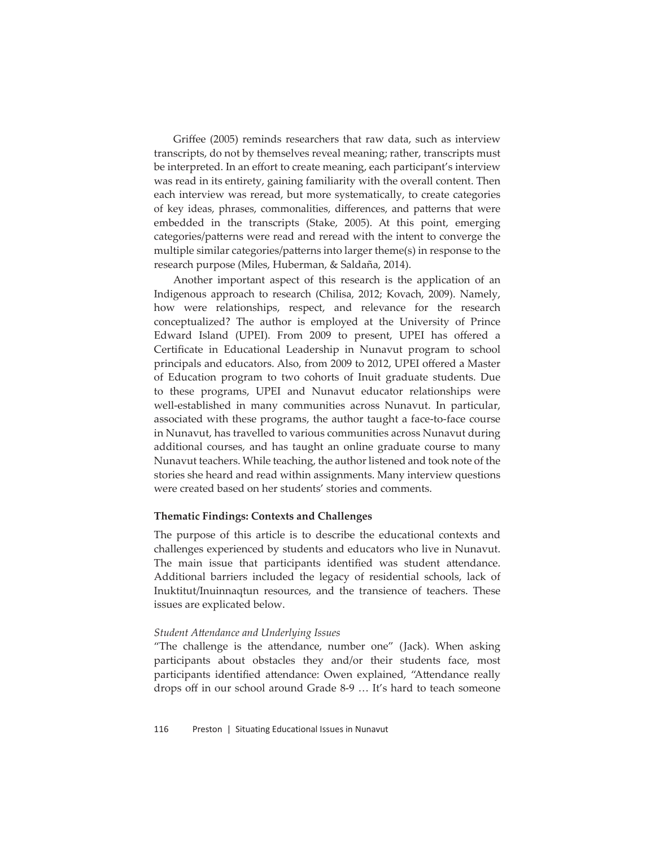Griffee (2005) reminds researchers that raw data, such as interview transcripts, do not by themselves reveal meaning; rather, transcripts must be interpreted. In an effort to create meaning, each participant's interview was read in its entirety, gaining familiarity with the overall content. Then each interview was reread, but more systematically, to create categories of key ideas, phrases, commonalities, differences, and patterns that were embedded in the transcripts (Stake, 2005). At this point, emerging categories/patterns were read and reread with the intent to converge the multiple similar categories/patterns into larger theme(s) in response to the research purpose (Miles, Huberman, & Saldaña, 2014).

Another important aspect of this research is the application of an Indigenous approach to research (Chilisa, 2012; Kovach, 2009). Namely, how were relationships, respect, and relevance for the research conceptualized? The author is employed at the University of Prince Edward Island (UPEI). From 2009 to present, UPEI has offered a Certificate in Educational Leadership in Nunavut program to school principals and educators. Also, from 2009 to 2012, UPEI offered a Master of Education program to two cohorts of Inuit graduate students. Due to these programs, UPEI and Nunavut educator relationships were well-established in many communities across Nunavut. In particular, associated with these programs, the author taught a face-to-face course in Nunavut, has travelled to various communities across Nunavut during additional courses, and has taught an online graduate course to many Nunavut teachers. While teaching, the author listened and took note of the stories she heard and read within assignments. Many interview questions were created based on her students' stories and comments.

## **Thematic Findings: Contexts and Challenges**

The purpose of this article is to describe the educational contexts and challenges experienced by students and educators who live in Nunavut. The main issue that participants identified was student attendance. Additional barriers included the legacy of residential schools, lack of Inuktitut/Inuinnaqtun resources, and the transience of teachers. These issues are explicated below.

### *Student Att endance and Underlying Issues*

"The challenge is the attendance, number one" (Jack). When asking participants about obstacles they and/or their students face, most participants identified attendance: Owen explained, "Attendance really drops off in our school around Grade 8-9 … It's hard to teach someone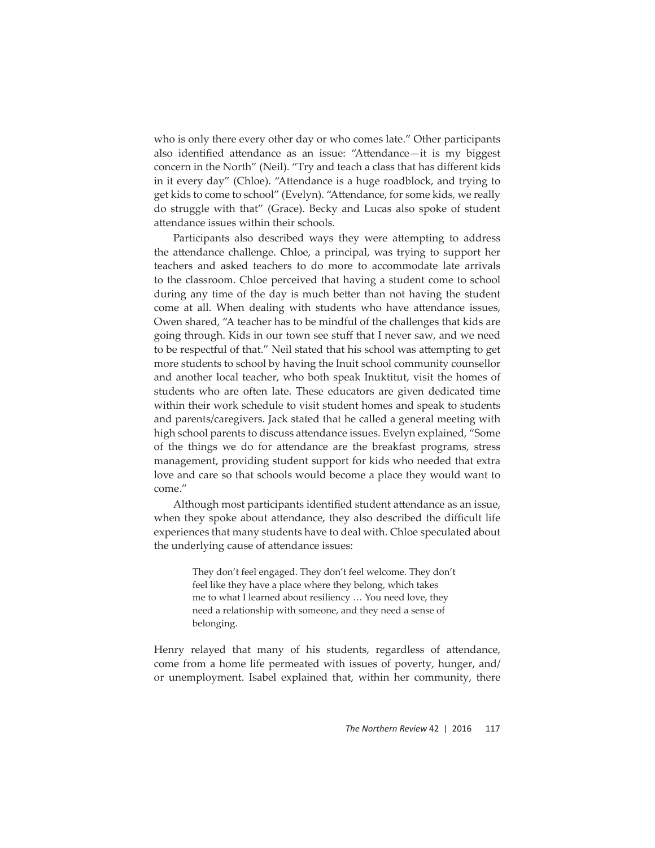who is only there every other day or who comes late." Other participants also identified attendance as an issue: "Attendance-it is my biggest concern in the North" (Neil). "Try and teach a class that has different kids in it every day" (Chloe). "Attendance is a huge roadblock, and trying to get kids to come to school" (Evelyn). "Attendance, for some kids, we really do struggle with that" (Grace). Becky and Lucas also spoke of student attendance issues within their schools.

Participants also described ways they were attempting to address the attendance challenge. Chloe, a principal, was trying to support her teachers and asked teachers to do more to accommodate late arrivals to the classroom. Chloe perceived that having a student come to school during any time of the day is much better than not having the student come at all. When dealing with students who have attendance issues, Owen shared, "A teacher has to be mindful of the challenges that kids are going through. Kids in our town see stuff that I never saw, and we need to be respectful of that." Neil stated that his school was attempting to get more students to school by having the Inuit school community counsellor and another local teacher, who both speak Inuktitut, visit the homes of students who are often late. These educators are given dedicated time within their work schedule to visit student homes and speak to students and parents/caregivers. Jack stated that he called a general meeting with high school parents to discuss attendance issues. Evelyn explained, "Some of the things we do for attendance are the breakfast programs, stress management, providing student support for kids who needed that extra love and care so that schools would become a place they would want to come."

Although most participants identified student attendance as an issue, when they spoke about attendance, they also described the difficult life experiences that many students have to deal with. Chloe speculated about the underlying cause of attendance issues:

> They don't feel engaged. They don't feel welcome. They don't feel like they have a place where they belong, which takes me to what I learned about resiliency … You need love, they need a relationship with someone, and they need a sense of belonging.

Henry relayed that many of his students, regardless of attendance, come from a home life permeated with issues of poverty, hunger, and/ or unemployment. Isabel explained that, within her community, there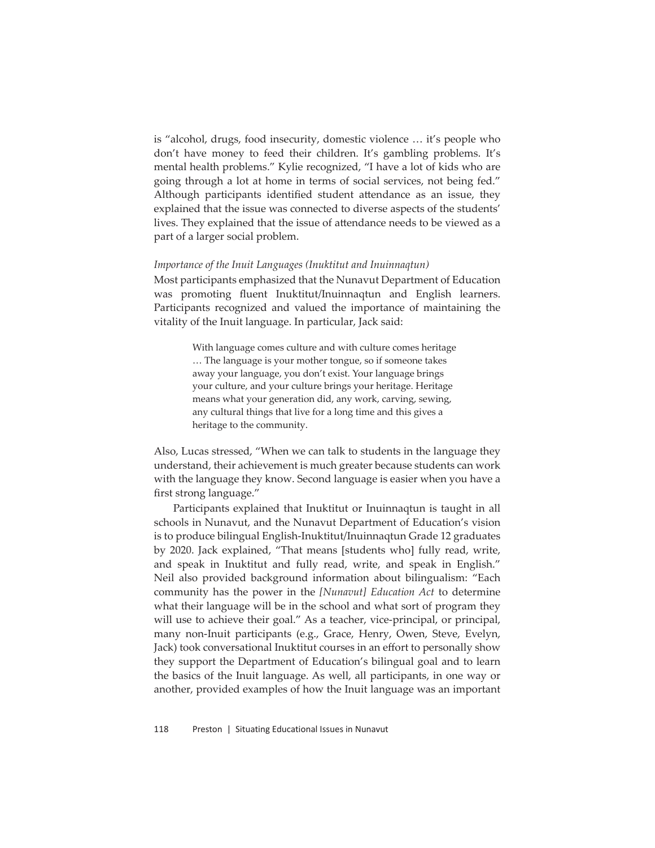is "alcohol, drugs, food insecurity, domestic violence … it's people who don't have money to feed their children. It's gambling problems. It's mental health problems." Kylie recognized, "I have a lot of kids who are going through a lot at home in terms of social services, not being fed." Although participants identified student attendance as an issue, they explained that the issue was connected to diverse aspects of the students' lives. They explained that the issue of attendance needs to be viewed as a part of a larger social problem.

### *Importance of the Inuit Languages (Inuktitut and Inuinnaqtun)*

Most participants emphasized that the Nunavut Department of Education was promoting fluent Inuktitut/Inuinnaqtun and English learners. Participants recognized and valued the importance of maintaining the vitality of the Inuit language. In particular, Jack said:

> With language comes culture and with culture comes heritage … The language is your mother tongue, so if someone takes away your language, you don't exist. Your language brings your culture, and your culture brings your heritage. Heritage means what your generation did, any work, carving, sewing, any cultural things that live for a long time and this gives a heritage to the community.

Also, Lucas stressed, "When we can talk to students in the language they understand, their achievement is much greater because students can work with the language they know. Second language is easier when you have a first strong language."

Participants explained that Inuktitut or Inuinnaqtun is taught in all schools in Nunavut, and the Nunavut Department of Education's vision is to produce bilingual English-Inuktitut/Inuinnaqtun Grade 12 graduates by 2020. Jack explained, "That means [students who] fully read, write, and speak in Inuktitut and fully read, write, and speak in English." Neil also provided background information about bilingualism: "Each community has the power in the *[Nunavut] Education Act* to determine what their language will be in the school and what sort of program they will use to achieve their goal." As a teacher, vice-principal, or principal, many non-Inuit participants (e.g., Grace, Henry, Owen, Steve, Evelyn, Jack) took conversational Inuktitut courses in an effort to personally show they support the Department of Education's bilingual goal and to learn the basics of the Inuit language. As well, all participants, in one way or another, provided examples of how the Inuit language was an important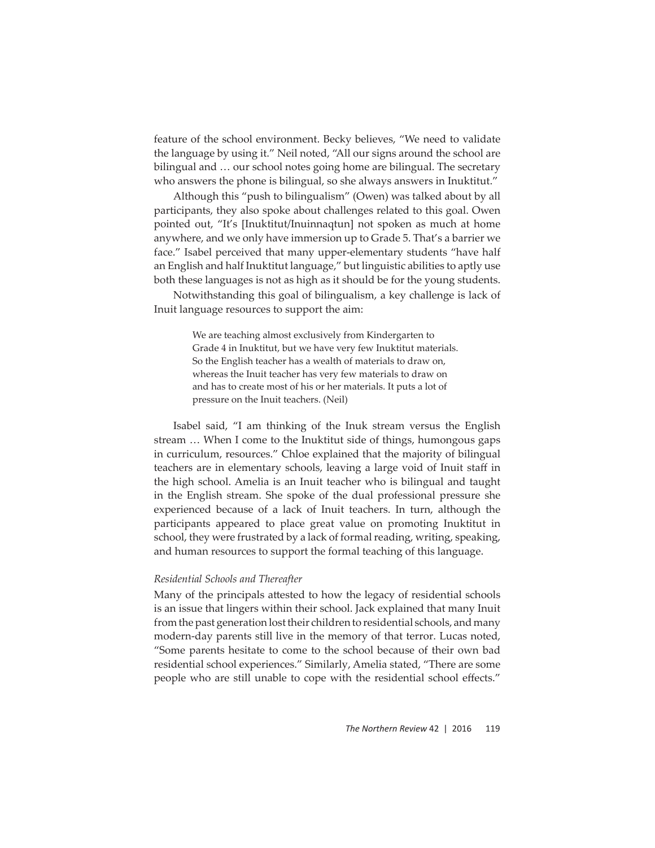feature of the school environment. Becky believes, "We need to validate the language by using it." Neil noted, "All our signs around the school are bilingual and … our school notes going home are bilingual. The secretary who answers the phone is bilingual, so she always answers in Inuktitut."

Although this "push to bilingualism" (Owen) was talked about by all participants, they also spoke about challenges related to this goal. Owen pointed out, "It's [Inuktitut/Inuinnaqtun] not spoken as much at home anywhere, and we only have immersion up to Grade 5. That's a barrier we face." Isabel perceived that many upper-elementary students "have half an English and half Inuktitut language," but linguistic abilities to aptly use both these languages is not as high as it should be for the young students.

Notwithstanding this goal of bilingualism, a key challenge is lack of Inuit language resources to support the aim:

> We are teaching almost exclusively from Kindergarten to Grade 4 in Inuktitut, but we have very few Inuktitut materials. So the English teacher has a wealth of materials to draw on, whereas the Inuit teacher has very few materials to draw on and has to create most of his or her materials. It puts a lot of pressure on the Inuit teachers. (Neil)

Isabel said, "I am thinking of the Inuk stream versus the English stream … When I come to the Inuktitut side of things, humongous gaps in curriculum, resources." Chloe explained that the majority of bilingual teachers are in elementary schools, leaving a large void of Inuit staff in the high school. Amelia is an Inuit teacher who is bilingual and taught in the English stream. She spoke of the dual professional pressure she experienced because of a lack of Inuit teachers. In turn, although the participants appeared to place great value on promoting Inuktitut in school, they were frustrated by a lack of formal reading, writing, speaking, and human resources to support the formal teaching of this language.

### *Residential Schools and Thereafter*

Many of the principals attested to how the legacy of residential schools is an issue that lingers within their school. Jack explained that many Inuit from the past generation lost their children to residential schools, and many modern-day parents still live in the memory of that terror. Lucas noted, "Some parents hesitate to come to the school because of their own bad residential school experiences." Similarly, Amelia stated, "There are some people who are still unable to cope with the residential school effects."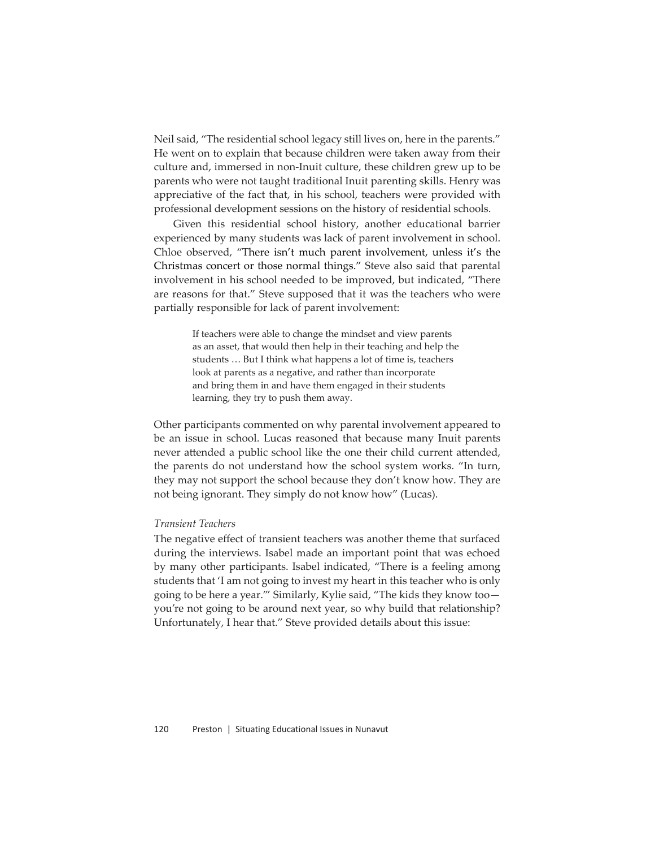Neil said, "The residential school legacy still lives on, here in the parents." He went on to explain that because children were taken away from their culture and, immersed in non-Inuit culture, these children grew up to be parents who were not taught traditional Inuit parenting skills. Henry was appreciative of the fact that, in his school, teachers were provided with professional development sessions on the history of residential schools.

Given this residential school history, another educational barrier experienced by many students was lack of parent involvement in school. Chloe observed, "There isn't much parent involvement, unless it's the Christmas concert or those normal things." Steve also said that parental involvement in his school needed to be improved, but indicated, "There are reasons for that." Steve supposed that it was the teachers who were partially responsible for lack of parent involvement:

> If teachers were able to change the mindset and view parents as an asset, that would then help in their teaching and help the students … But I think what happens a lot of time is, teachers look at parents as a negative, and rather than incorporate and bring them in and have them engaged in their students learning, they try to push them away.

Other participants commented on why parental involvement appeared to be an issue in school. Lucas reasoned that because many Inuit parents never attended a public school like the one their child current attended, the parents do not understand how the school system works. "In turn, they may not support the school because they don't know how. They are not being ignorant. They simply do not know how" (Lucas).

# *Transient Teachers*

The negative effect of transient teachers was another theme that surfaced during the interviews. Isabel made an important point that was echoed by many other participants. Isabel indicated, "There is a feeling among students that 'I am not going to invest my heart in this teacher who is only going to be here a year.'" Similarly, Kylie said, "The kids they know too you're not going to be around next year, so why build that relationship? Unfortunately, I hear that." Steve provided details about this issue: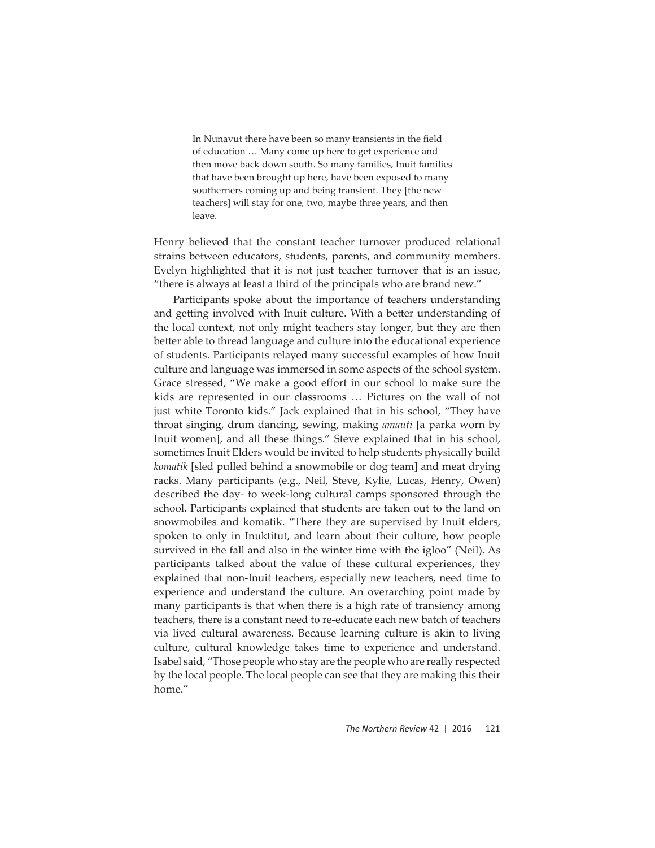In Nunavut there have been so many transients in the field of education … Many come up here to get experience and then move back down south. So many families, Inuit families that have been brought up here, have been exposed to many southerners coming up and being transient. They [the new teachers] will stay for one, two, maybe three years, and then leave.

Henry believed that the constant teacher turnover produced relational strains between educators, students, parents, and community members. Evelyn highlighted that it is not just teacher turnover that is an issue, "there is always at least a third of the principals who are brand new."

Participants spoke about the importance of teachers understanding and getting involved with Inuit culture. With a better understanding of the local context, not only might teachers stay longer, but they are then better able to thread language and culture into the educational experience of students. Participants relayed many successful examples of how Inuit culture and language was immersed in some aspects of the school system. Grace stressed, "We make a good effort in our school to make sure the kids are represented in our classrooms … Pictures on the wall of not just white Toronto kids." Jack explained that in his school, "They have throat singing, drum dancing, sewing, making *amauti* [a parka worn by Inuit women], and all these things." Steve explained that in his school, sometimes Inuit Elders would be invited to help students physically build *komatik* [sled pulled behind a snowmobile or dog team] and meat drying racks. Many participants (e.g., Neil, Steve, Kylie, Lucas, Henry, Owen) described the day- to week-long cultural camps sponsored through the school. Participants explained that students are taken out to the land on snowmobiles and komatik. "There they are supervised by Inuit elders, spoken to only in Inuktitut, and learn about their culture, how people survived in the fall and also in the winter time with the igloo" (Neil). As participants talked about the value of these cultural experiences, they explained that non-Inuit teachers, especially new teachers, need time to experience and understand the culture. An overarching point made by many participants is that when there is a high rate of transiency among teachers, there is a constant need to re-educate each new batch of teachers via lived cultural awareness. Because learning culture is akin to living culture, cultural knowledge takes time to experience and understand. Isabel said, "Those people who stay are the people who are really respected by the local people. The local people can see that they are making this their home."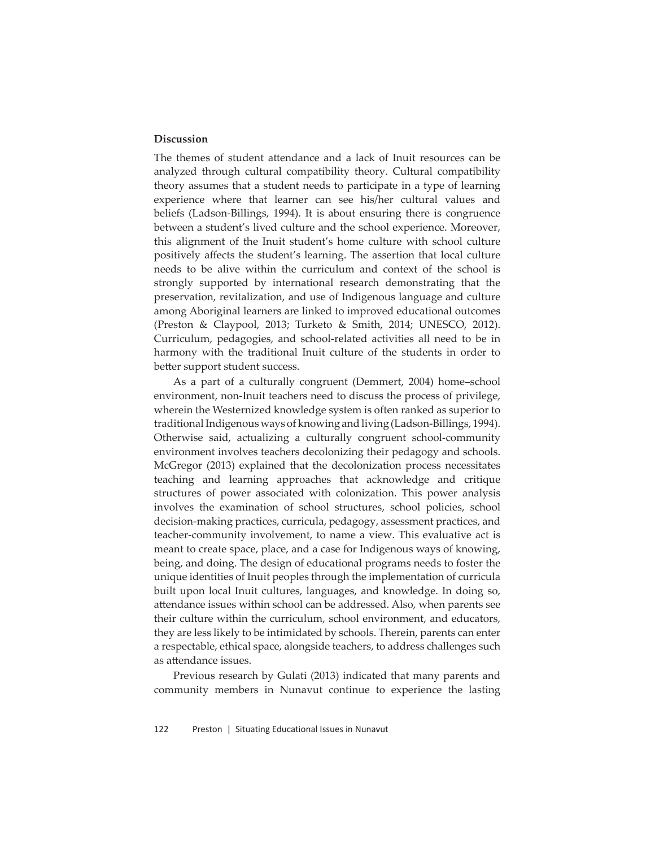# **Discussion**

The themes of student attendance and a lack of Inuit resources can be analyzed through cultural compatibility theory. Cultural compatibility theory assumes that a student needs to participate in a type of learning experience where that learner can see his/her cultural values and beliefs (Ladson-Billings, 1994). It is about ensuring there is congruence between a student's lived culture and the school experience. Moreover, this alignment of the Inuit student's home culture with school culture positively affects the student's learning. The assertion that local culture needs to be alive within the curriculum and context of the school is strongly supported by international research demonstrating that the preservation, revitalization, and use of Indigenous language and culture among Aboriginal learners are linked to improved educational outcomes (Preston & Claypool, 2013; Turketo & Smith, 2014; UNESCO, 2012). Curriculum, pedagogies, and school-related activities all need to be in harmony with the traditional Inuit culture of the students in order to better support student success.

As a part of a culturally congruent (Demmert, 2004) home–school environment, non-Inuit teachers need to discuss the process of privilege, wherein the Westernized knowledge system is often ranked as superior to traditional Indigenous ways of knowing and living (Ladson-Billings, 1994). Otherwise said, actualizing a culturally congruent school-community environment involves teachers decolonizing their pedagogy and schools. McGregor (2013) explained that the decolonization process necessitates teaching and learning approaches that acknowledge and critique structures of power associated with colonization. This power analysis involves the examination of school structures, school policies, school decision-making practices, curricula, pedagogy, assessment practices, and teacher-community involvement, to name a view. This evaluative act is meant to create space, place, and a case for Indigenous ways of knowing, being, and doing. The design of educational programs needs to foster the unique identities of Inuit peoples through the implementation of curricula built upon local Inuit cultures, languages, and knowledge. In doing so, attendance issues within school can be addressed. Also, when parents see their culture within the curriculum, school environment, and educators, they are less likely to be intimidated by schools. Therein, parents can enter a respectable, ethical space, alongside teachers, to address challenges such as attendance issues.

Previous research by Gulati (2013) indicated that many parents and community members in Nunavut continue to experience the lasting

122 Preston | Situating Educational Issues in Nunavut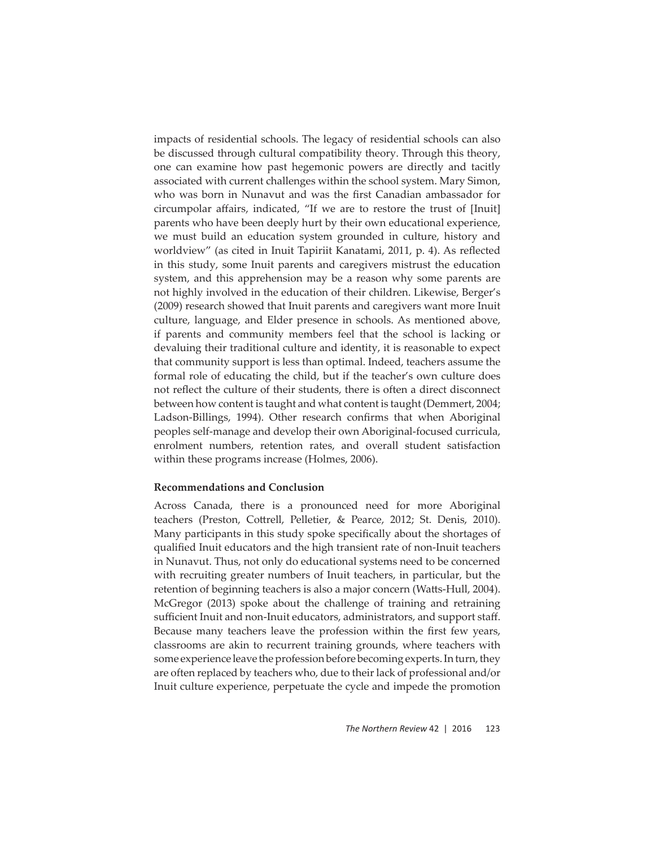impacts of residential schools. The legacy of residential schools can also be discussed through cultural compatibility theory. Through this theory, one can examine how past hegemonic powers are directly and tacitly associated with current challenges within the school system. Mary Simon, who was born in Nunavut and was the first Canadian ambassador for circumpolar affairs, indicated, "If we are to restore the trust of [Inuit] parents who have been deeply hurt by their own educational experience, we must build an education system grounded in culture, history and worldview" (as cited in Inuit Tapiriit Kanatami, 2011, p. 4). As reflected in this study, some Inuit parents and caregivers mistrust the education system, and this apprehension may be a reason why some parents are not highly involved in the education of their children. Likewise, Berger's (2009) research showed that Inuit parents and caregivers want more Inuit culture, language, and Elder presence in schools. As mentioned above, if parents and community members feel that the school is lacking or devaluing their traditional culture and identity, it is reasonable to expect that community support is less than optimal. Indeed, teachers assume the formal role of educating the child, but if the teacher's own culture does not reflect the culture of their students, there is often a direct disconnect between how content is taught and what content is taught (Demmert, 2004; Ladson-Billings, 1994). Other research confirms that when Aboriginal peoples self-manage and develop their own Aboriginal-focused curricula, enrolment numbers, retention rates, and overall student satisfaction within these programs increase (Holmes, 2006).

## **Recommendations and Conclusion**

Across Canada, there is a pronounced need for more Aboriginal teachers (Preston, Cottrell, Pelletier, & Pearce, 2012; St. Denis, 2010). Many participants in this study spoke specifically about the shortages of qualified Inuit educators and the high transient rate of non-Inuit teachers in Nunavut. Thus, not only do educational systems need to be concerned with recruiting greater numbers of Inuit teachers, in particular, but the retention of beginning teachers is also a major concern (Watts-Hull, 2004). McGregor (2013) spoke about the challenge of training and retraining sufficient Inuit and non-Inuit educators, administrators, and support staff. Because many teachers leave the profession within the first few years, classrooms are akin to recurrent training grounds, where teachers with some experience leave the profession before becoming experts. In turn, they are often replaced by teachers who, due to their lack of professional and/or Inuit culture experience, perpetuate the cycle and impede the promotion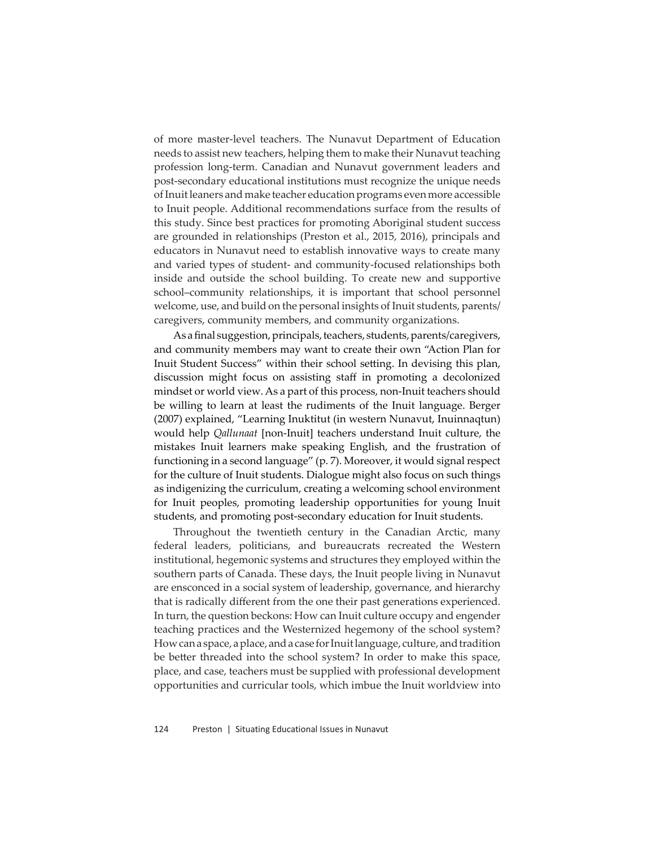of more master-level teachers. The Nunavut Department of Education needs to assist new teachers, helping them to make their Nunavut teaching profession long-term. Canadian and Nunavut government leaders and post-secondary educational institutions must recognize the unique needs of Inuit leaners and make teacher education programs even more accessible to Inuit people. Additional recommendations surface from the results of this study. Since best practices for promoting Aboriginal student success are grounded in relationships (Preston et al., 2015, 2016), principals and educators in Nunavut need to establish innovative ways to create many and varied types of student- and community-focused relationships both inside and outside the school building. To create new and supportive school–community relationships, it is important that school personnel welcome, use, and build on the personal insights of Inuit students, parents/ caregivers, community members, and community organizations.

As a final suggestion, principals, teachers, students, parents/caregivers, and community members may want to create their own "Action Plan for Inuit Student Success" within their school setting. In devising this plan, discussion might focus on assisting staff in promoting a decolonized mindset or world view. As a part of this process, non-Inuit teachers should be willing to learn at least the rudiments of the Inuit language. Berger (2007) explained, "Learning Inuktitut (in western Nunavut, Inuinnaqtun) would help *Qallunaat* [non-Inuit] teachers understand Inuit culture, the mistakes Inuit learners make speaking English, and the frustration of functioning in a second language" (p. 7). Moreover, it would signal respect for the culture of Inuit students. Dialogue might also focus on such things as indigenizing the curriculum, creating a welcoming school environment for Inuit peoples, promoting leadership opportunities for young Inuit students, and promoting post-secondary education for Inuit students.

Throughout the twentieth century in the Canadian Arctic, many federal leaders, politicians, and bureaucrats recreated the Western institutional, hegemonic systems and structures they employed within the southern parts of Canada. These days, the Inuit people living in Nunavut are ensconced in a social system of leadership, governance, and hierarchy that is radically different from the one their past generations experienced. In turn, the question beckons: How can Inuit culture occupy and engender teaching practices and the Westernized hegemony of the school system? How can a space, a place, and a case for Inuit language, culture, and tradition be better threaded into the school system? In order to make this space, place, and case, teachers must be supplied with professional development opportunities and curricular tools, which imbue the Inuit worldview into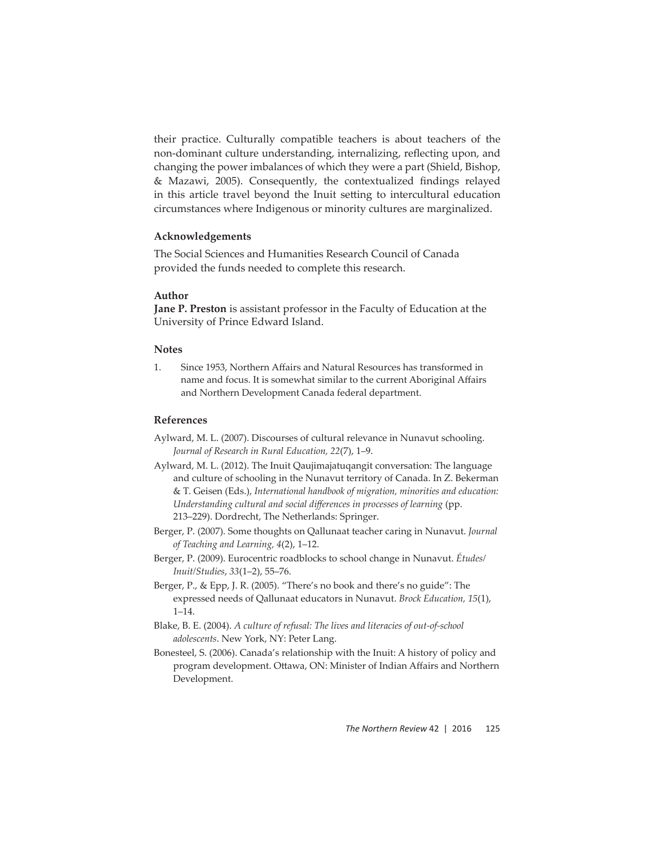their practice. Culturally compatible teachers is about teachers of the non-dominant culture understanding, internalizing, reflecting upon, and changing the power imbalances of which they were a part (Shield, Bishop, & Mazawi, 2005). Consequently, the contextualized findings relayed in this article travel beyond the Inuit setting to intercultural education circumstances where Indigenous or minority cultures are marginalized.

# **Acknowledgements**

The Social Sciences and Humanities Research Council of Canada provided the funds needed to complete this research.

## **Author**

**Jane P. Preston** is assistant professor in the Faculty of Education at the University of Prince Edward Island.

## **Notes**

1. Since 1953, Northern Aff airs and Natural Resources has transformed in name and focus. It is somewhat similar to the current Aboriginal Affairs and Northern Development Canada federal department.

#### **References**

- Aylward, M. L. (2007). Discourses of cultural relevance in Nunavut schooling. *Journal of Research in Rural Education, 22*(7), 1–9.
- Aylward, M. L. (2012). The Inuit Qaujimajatuqangit conversation: The language and culture of schooling in the Nunavut territory of Canada. In Z. Bekerman & T. Geisen (Eds.), *International handbook of migration, minorities and education: Understanding cultural and social diff erences in processes of learning* (pp. 213–229). Dordrecht, The Netherlands: Springer.
- Berger, P. (2007). Some thoughts on Qallunaat teacher caring in Nunavut. *Journal of Teaching and Learning, 4*(2), 1–12.
- Berger, P. (2009). Eurocentric roadblocks to school change in Nunavut. *Études/ Inuit/Studies*, *33*(1–2), 55–76.
- Berger, P., & Epp, J. R. (2005). "There's no book and there's no guide": The expressed needs of Qallunaat educators in Nunavut. *Brock Education, 15*(1), 1–14.
- Blake, B. E. (2004). *A culture of refusal: The lives and literacies of out-of-school adolescents*. New York, NY: Peter Lang.
- Bonesteel, S. (2006). Canada's relationship with the Inuit: A history of policy and program development. Ottawa, ON: Minister of Indian Affairs and Northern Development.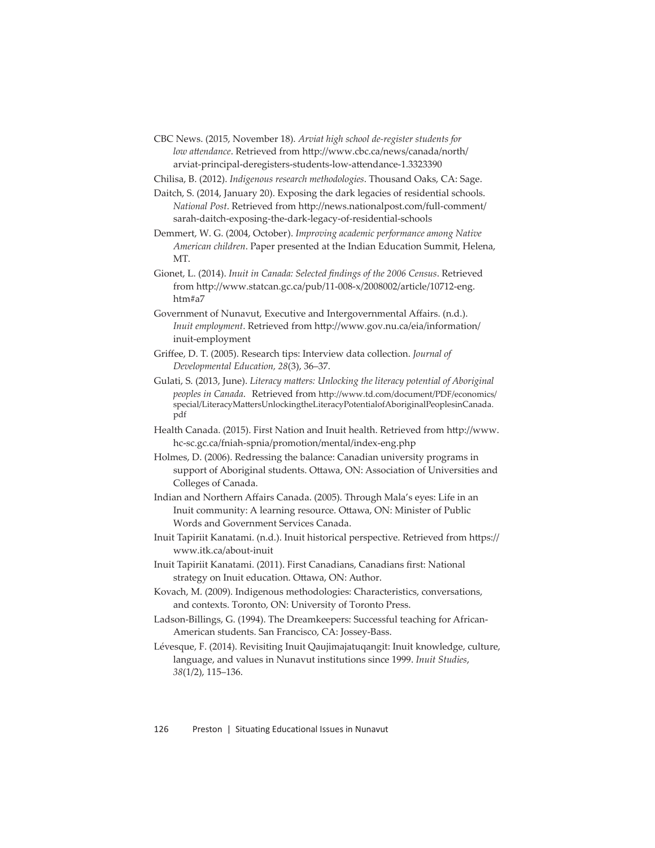CBC News. (2015, November 18). *Arviat high school de-register students for low attendance*. Retrieved from http://www.cbc.ca/news/canada/north/ arviat-principal-deregisters-students-low-attendance-1.3323390

Chilisa, B. (2012). *Indigenous research methodologies*. Thousand Oaks, CA: Sage.

- Daitch, S. (2014, January 20). Exposing the dark legacies of residential schools. *National Post.* Retrieved from http://news.nationalpost.com/full-comment/ sarah-daitch-exposing-the-dark-legacy-of-residential-schools
- Demmert, W. G. (2004, October). *Improving academic performance among Native American children*. Paper presented at the Indian Education Summit, Helena, MT.
- Gionet, L. (2014). *Inuit in Canada: Selected findings of the 2006 Census*. Retrieved from http://www.statcan.gc.ca/pub/11-008-x/2008002/article/10712-eng. htm#a7
- Government of Nunavut, Executive and Intergovernmental Affairs. (n.d.). *Inuit employment*. Retrieved from http://www.gov.nu.ca/eia/information/ inuit-employment
- Griff ee, D. T. (2005). Research tips: Interview data collection. *Journal of Developmental Education, 28*(3), 36–37.
- Gulati, S. (2013, June). *Literacy matters: Unlocking the literacy potential of Aboriginal peoples in Canada.* Retrieved from http://www.td.com/document/PDF/economics/ special/LiteracyMattersUnlockingtheLiteracyPotentialofAboriginalPeoplesinCanada. pdf
- Health Canada. (2015). First Nation and Inuit health. Retrieved from http://www. hc-sc.gc.ca/fniah-spnia/promotion/mental/index-eng.php
- Holmes, D. (2006). Redressing the balance: Canadian university programs in support of Aboriginal students. Ottawa, ON: Association of Universities and Colleges of Canada.
- Indian and Northern Affairs Canada. (2005). Through Mala's eyes: Life in an Inuit community: A learning resource. Ottawa, ON: Minister of Public Words and Government Services Canada.
- Inuit Tapiriit Kanatami. (n.d.). Inuit historical perspective. Retrieved from https:// www.itk.ca/about-inuit
- Inuit Tapiriit Kanatami. (2011). First Canadians, Canadians first: National strategy on Inuit education. Ottawa, ON: Author.
- Kovach, M. (2009). Indigenous methodologies: Characteristics, conversations, and contexts. Toronto, ON: University of Toronto Press.
- Ladson-Billings, G. (1994). The Dreamkeepers: Successful teaching for African-American students. San Francisco, CA: Jossey-Bass.

Lévesque, F. (2014). Revisiting Inuit Qaujimajatuqangit: Inuit knowledge, culture, language, and values in Nunavut institutions since 1999. *Inuit Studies*, *38*(1/2), 115–136.

126 Preston | Situating Educational Issues in Nunavut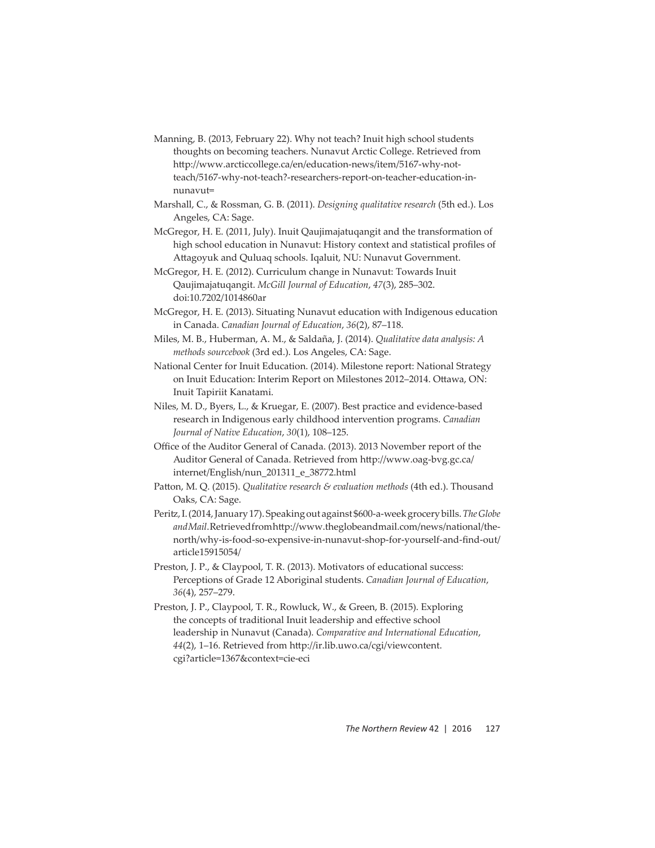- Manning, B. (2013, February 22). Why not teach? Inuit high school students thoughts on becoming teachers. Nunavut Arctic College. Retrieved from http://www.arcticcollege.ca/en/education-news/item/5167-why-notteach/5167-why-not-teach?-researchers-report-on-teacher-education-innunavut=
- Marshall, C., & Rossman, G. B. (2011). *Designing qualitative research* (5th ed.). Los Angeles, CA: Sage.
- McGregor, H. E. (2011, July). Inuit Qaujimajatuqangit and the transformation of high school education in Nunavut: History context and statistical profiles of Attagoyuk and Quluaq schools. Iqaluit, NU: Nunavut Government.
- McGregor, H. E. (2012). Curriculum change in Nunavut: Towards Inuit Qaujimajatuqangit. *McGill Journal of Education*, *47*(3), 285–302. doi:10.7202/1014860ar
- McGregor, H. E. (2013). Situating Nunavut education with Indigenous education in Canada. *Canadian Journal of Education*, *36*(2), 87–118.
- Miles, M. B., Huberman, A. M., & Saldaña, J. (2014). *Qualitative data analysis: A methods sourcebook* (3rd ed.). Los Angeles, CA: Sage.
- National Center for Inuit Education. (2014). Milestone report: National Strategy on Inuit Education: Interim Report on Milestones 2012–2014. Ottawa, ON: Inuit Tapiriit Kanatami.
- Niles, M. D., Byers, L., & Kruegar, E. (2007). Best practice and evidence-based research in Indigenous early childhood intervention programs. *Canadian Journal of Native Education*, *30*(1), 108–125.
- Office of the Auditor General of Canada. (2013). 2013 November report of the Auditor General of Canada. Retrieved from http://www.oag-bvg.gc.ca/ internet/English/nun\_201311\_e\_38772.html
- Patton, M. Q. (2015). *Qualitative research & evaluation methods* (4th ed.). Thousand Oaks, CA: Sage.
- Peritz , I. (2014, January 17). Speaking out against \$600-a-week grocery bills. *The Globe*  and Mail. Retrieved from http://www.theglobeandmail.com/news/national/thenorth/why-is-food-so-expensive-in-nunavut-shop-for-yourself-and-find-out/ article15915054/
- Preston, J. P., & Claypool, T. R. (2013). Motivators of educational success: Perceptions of Grade 12 Aboriginal students. *Canadian Journal of Education*, *36*(4), 257–279.
- Preston, J. P., Claypool, T. R., Rowluck, W., & Green, B. (2015). Exploring the concepts of traditional Inuit leadership and effective school leadership in Nunavut (Canada). *Comparative and International Education*, 44(2), 1-16. Retrieved from http://ir.lib.uwo.ca/cgi/viewcontent. cgi?article=1367&context=cie-eci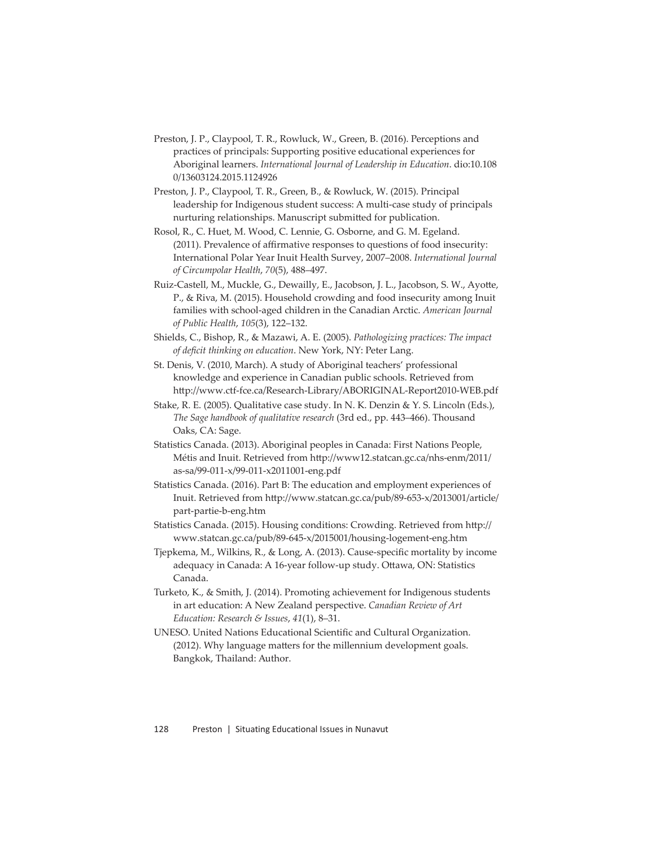- Preston, J. P., Claypool, T. R., Rowluck, W., Green, B. (2016). Perceptions and practices of principals: Supporting positive educational experiences for Aboriginal learners. *International Journal of Leadership in Education*. dio:10.108 0/13603124.2015.1124926
- Preston, J. P., Claypool, T. R., Green, B., & Rowluck, W. (2015). Principal leadership for Indigenous student success: A multi-case study of principals nurturing relationships. Manuscript submitted for publication.
- Rosol, R., C. Huet, M. Wood, C. Lennie, G. Osborne, and G. M. Egeland. (2011). Prevalence of affirmative responses to questions of food insecurity: International Polar Year Inuit Health Survey, 2007–2008. *International Journal of Circumpolar Health*, *70*(5), 488–497.
- Ruiz-Castell, M., Muckle, G., Dewailly, E., Jacobson, J. L., Jacobson, S. W., Ayotte, P., & Riva, M. (2015). Household crowding and food insecurity among Inuit families with school-aged children in the Canadian Arctic. *American Journal of Public Health*, *105*(3), 122–132.
- Shields, C., Bishop, R., & Mazawi, A. E. (2005). *Pathologizing practices: The impact*  of deficit thinking on education. New York, NY: Peter Lang.
- St. Denis, V. (2010, March). A study of Aboriginal teachers' professional knowledge and experience in Canadian public schools. Retrieved from http://www.ctf-fce.ca/Research-Library/ABORIGINAL-Report2010-WEB.pdf
- Stake, R. E. (2005). Qualitative case study. In N. K. Denzin & Y. S. Lincoln (Eds.), *The Sage handbook of qualitative research* (3rd ed., pp. 443–466). Thousand Oaks, CA: Sage.
- Statistics Canada. (2013). Aboriginal peoples in Canada: First Nations People, Métis and Inuit. Retrieved from http://www12.statcan.gc.ca/nhs-enm/2011/ as-sa/99-011-x/99-011-x2011001-eng.pdf
- Statistics Canada. (2016). Part B: The education and employment experiences of Inuit. Retrieved from http://www.statcan.gc.ca/pub/89-653-x/2013001/article/ part-partie-b-eng.htm
- Statistics Canada. (2015). Housing conditions: Crowding. Retrieved from http:// www.statcan.gc.ca/pub/89-645-x/2015001/housing-logement-eng.htm
- Tjepkema, M., Wilkins, R., & Long, A. (2013). Cause-specific mortality by income adequacy in Canada: A 16-year follow-up study. Ottawa, ON: Statistics Canada.
- Turketo, K., & Smith, J. (2014). Promoting achievement for Indigenous students in art education: A New Zealand perspective. *Canadian Review of Art Education: Research & Issues*, *41*(1), 8–31.
- UNESO. United Nations Educational Scientific and Cultural Organization. (2012). Why language matters for the millennium development goals. Bangkok, Thailand: Author.